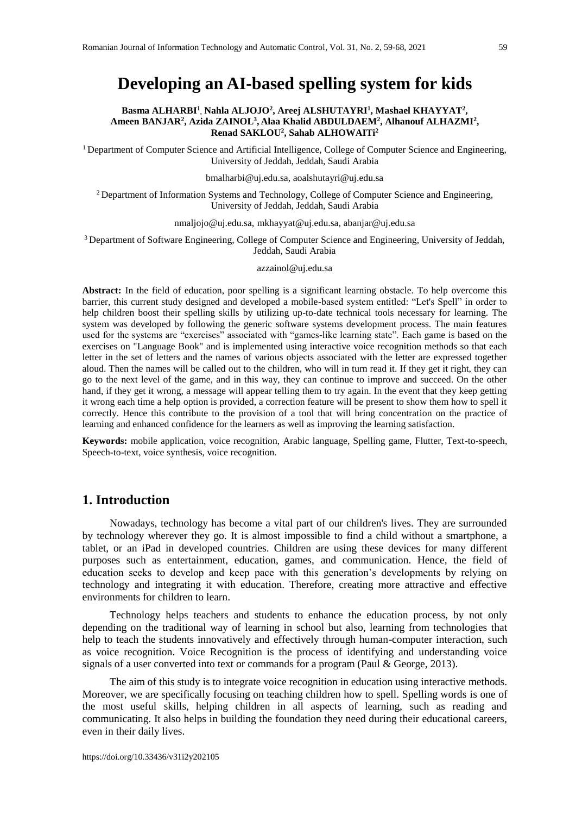# **Developing an AI-based spelling system for kids**

#### **Basma ALHARBI<sup>1</sup> , Nahla ALJOJO<sup>2</sup> , Areej ALSHUTAYRI<sup>1</sup> , Mashael KHAYYAT<sup>2</sup> , Ameen BANJAR<sup>2</sup> , Azida ZAINOL<sup>3</sup> , Alaa Khalid ABDULDAEM<sup>2</sup> , Alhanouf ALHAZMI<sup>2</sup> , Renad SAKLOU<sup>2</sup> , Sahab ALHOWAITi<sup>2</sup>**

<sup>1</sup> Department of Computer Science and Artificial Intelligence, College of Computer Science and Engineering, University of Jeddah, Jeddah, Saudi Arabia

bmalharbi@uj.edu.sa, aoalshutayri@uj.edu.sa

<sup>2</sup> Department of Information Systems and Technology, College of Computer Science and Engineering, University of Jeddah, Jeddah, Saudi Arabia

nmaljojo@uj.edu.sa, mkhayyat@uj.edu.sa, abanjar@uj.edu.sa

<sup>3</sup> Department of Software Engineering, College of Computer Science and Engineering, University of Jeddah, Jeddah, Saudi Arabia

azzainol@uj.edu.sa

**Abstract:** In the field of education, poor spelling is a significant learning obstacle. To help overcome this barrier, this current study designed and developed a mobile-based system entitled: "Let's Spell" in order to help children boost their spelling skills by utilizing up-to-date technical tools necessary for learning. The system was developed by following the generic software systems development process. The main features used for the systems are "exercises" associated with "games-like learning state". Each game is based on the exercises on "Language Book" and is implemented using interactive voice recognition methods so that each letter in the set of letters and the names of various objects associated with the letter are expressed together aloud. Then the names will be called out to the children, who will in turn read it. If they get it right, they can go to the next level of the game, and in this way, they can continue to improve and succeed. On the other hand, if they get it wrong, a message will appear telling them to try again. In the event that they keep getting it wrong each time a help option is provided, a correction feature will be present to show them how to spell it correctly. Hence this contribute to the provision of a tool that will bring concentration on the practice of learning and enhanced confidence for the learners as well as improving the learning satisfaction.

**Keywords:** mobile application, voice recognition, Arabic language, Spelling game, Flutter, Text-to-speech, Speech-to-text, voice synthesis, voice recognition.

## **1. Introduction**

Nowadays, technology has become a vital part of our children's lives. They are surrounded by technology wherever they go. It is almost impossible to find a child without a smartphone, a tablet, or an iPad in developed countries. Children are using these devices for many different purposes such as entertainment, education, games, and communication. Hence, the field of education seeks to develop and keep pace with this generation's developments by relying on technology and integrating it with education. Therefore, creating more attractive and effective environments for children to learn.

Technology helps teachers and students to enhance the education process, by not only depending on the traditional way of learning in school but also, learning from technologies that help to teach the students innovatively and effectively through human-computer interaction, such as voice recognition. Voice Recognition is the process of identifying and understanding voice signals of a user converted into text or commands for a program (Paul & George, 2013).

The aim of this study is to integrate voice recognition in education using interactive methods. Moreover, we are specifically focusing on teaching children how to spell. Spelling words is one of the most useful skills, helping children in all aspects of learning, such as reading and communicating. It also helps in building the foundation they need during their educational careers, even in their daily lives.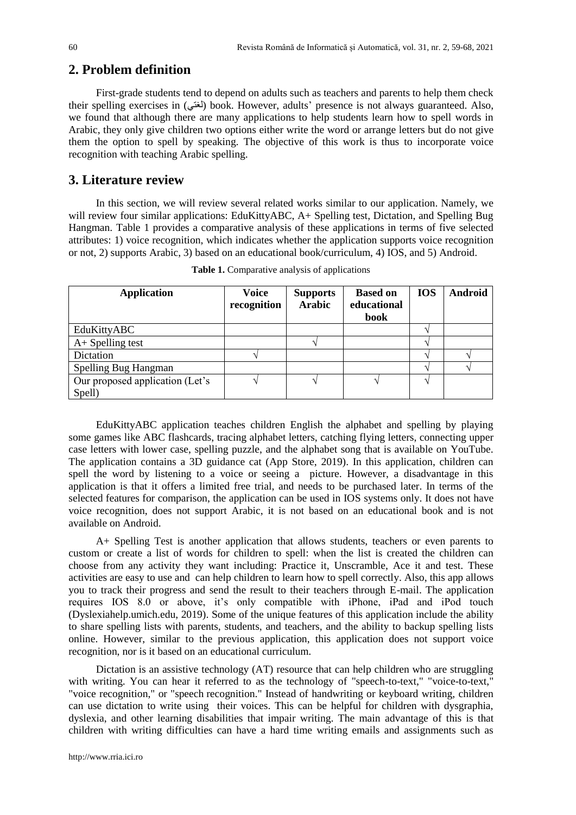# **2. Problem definition**

First-grade students tend to depend on adults such as teachers and parents to help them check their spelling exercises in (لغتى) book. However, adults' presence is not always guaranteed. Also, we found that although there are many applications to help students learn how to spell words in Arabic, they only give children two options either write the word or arrange letters but do not give them the option to spell by speaking. The objective of this work is thus to incorporate voice recognition with teaching Arabic spelling.

## **3. Literature review**

In this section, we will review several related works similar to our application. Namely, we will review four similar applications: EduKittyABC, A+ Spelling test, Dictation, and Spelling Bug Hangman. Table 1 provides a comparative analysis of these applications in terms of five selected attributes: 1) voice recognition, which indicates whether the application supports voice recognition or not, 2) supports Arabic, 3) based on an educational book/curriculum, 4) IOS, and 5) Android.

| <b>Application</b>              | <b>Voice</b><br>recognition | <b>Supports</b><br><b>Arabic</b> | <b>Based on</b><br>educational | <b>IOS</b> | <b>Android</b> |
|---------------------------------|-----------------------------|----------------------------------|--------------------------------|------------|----------------|
|                                 |                             |                                  | book                           |            |                |
| EduKittyABC                     |                             |                                  |                                |            |                |
| $A+$ Spelling test              |                             |                                  |                                |            |                |
| Dictation                       |                             |                                  |                                |            |                |
| Spelling Bug Hangman            |                             |                                  |                                |            |                |
| Our proposed application (Let's |                             |                                  |                                |            |                |
| Spell)                          |                             |                                  |                                |            |                |

**Table 1.** Comparative analysis of applications

EduKittyABC application teaches children English the alphabet and spelling by playing some games like ABC flashcards, tracing alphabet letters, catching flying letters, connecting upper case letters with lower case, spelling puzzle, and the alphabet song that is available on YouTube. The application contains a 3D guidance cat (App Store, 2019). In this application, children can spell the word by listening to a voice or seeing a picture. However, a disadvantage in this application is that it offers a limited free trial, and needs to be purchased later. In terms of the selected features for comparison, the application can be used in IOS systems only. It does not have voice recognition, does not support Arabic, it is not based on an educational book and is not available on Android.

A+ Spelling Test is another application that allows students, teachers or even parents to custom or create a list of words for children to spell: when the list is created the children can choose from any activity they want including: Practice it, Unscramble, Ace it and test. These activities are easy to use and can help children to learn how to spell correctly. Also, this app allows you to track their progress and send the result to their teachers through E-mail. The application requires IOS 8.0 or above, it's only compatible with iPhone, iPad and iPod touch (Dyslexiahelp.umich.edu, 2019). Some of the unique features of this application include the ability to share spelling lists with parents, students, and teachers, and the ability to backup spelling lists online. However, similar to the previous application, this application does not support voice recognition, nor is it based on an educational curriculum.

Dictation is an assistive technology (AT) resource that can help children who are struggling with writing. You can hear it referred to as the technology of "speech-to-text," "voice-to-text," "voice recognition," or "speech recognition." Instead of handwriting or keyboard writing, children can use dictation to write using their voices. This can be helpful for children with dysgraphia, dyslexia, and other learning disabilities that impair writing. The main advantage of this is that children with writing difficulties can have a hard time writing emails and assignments such as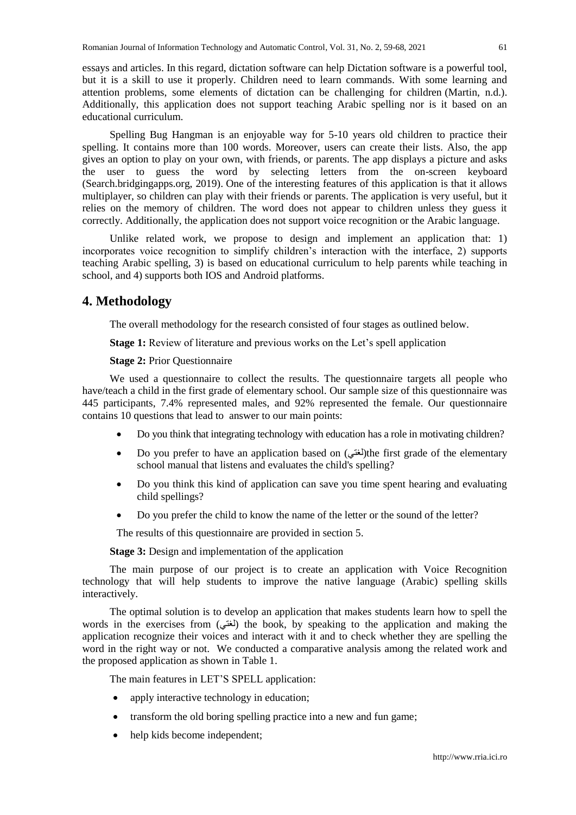essays and articles. In this regard, dictation software can help Dictation software is a powerful tool, but it is a skill to use it properly. Children need to learn commands. With some learning and attention problems, some elements of dictation can be challenging for children (Martin, n.d.). Additionally, this application does not support teaching Arabic spelling nor is it based on an educational curriculum.

Spelling Bug Hangman is an enjoyable way for 5-10 years old children to practice their spelling. It contains more than 100 words. Moreover, users can create their lists. Also, the app gives an option to play on your own, with friends, or parents. The app displays a picture and asks the user to guess the word by selecting letters from the on-screen keyboard (Search.bridgingapps.org, 2019). One of the interesting features of this application is that it allows multiplayer, so children can play with their friends or parents. The application is very useful, but it relies on the memory of children. The word does not appear to children unless they guess it correctly. Additionally, the application does not support voice recognition or the Arabic language.

Unlike related work, we propose to design and implement an application that: 1) incorporates voice recognition to simplify children's interaction with the interface, 2) supports teaching Arabic spelling, 3) is based on educational curriculum to help parents while teaching in school, and 4) supports both IOS and Android platforms.

## **4. Methodology**

The overall methodology for the research consisted of four stages as outlined below.

**Stage 1:** Review of literature and previous works on the Let's spell application

#### **Stage 2:** Prior Questionnaire

We used a questionnaire to collect the results. The questionnaire targets all people who have/teach a child in the first grade of elementary school. Our sample size of this questionnaire was 445 participants, 7.4% represented males, and 92% represented the female. Our questionnaire contains 10 questions that lead to answer to our main points:

- Do you think that integrating technology with education has a role in motivating children?
- Do you prefer to have an application based on  $(\overline{t})$  the first grade of the elementary school manual that listens and evaluates the child's spelling?
- Do you think this kind of application can save you time spent hearing and evaluating child spellings?
- Do you prefer the child to know the name of the letter or the sound of the letter?

The results of this questionnaire are provided in section 5.

**Stage 3:** Design and implementation of the application

The main purpose of our project is to create an application with Voice Recognition technology that will help students to improve the native language (Arabic) spelling skills interactively.

The optimal solution is to develop an application that makes students learn how to spell the words in the exercises from (لغتي) the book, by speaking to the application and making the application recognize their voices and interact with it and to check whether they are spelling the word in the right way or not. We conducted a comparative analysis among the related work and the proposed application as shown in Table 1.

The main features in LET'S SPELL application:

- apply interactive technology in education;
- transform the old boring spelling practice into a new and fun game;
- help kids become independent;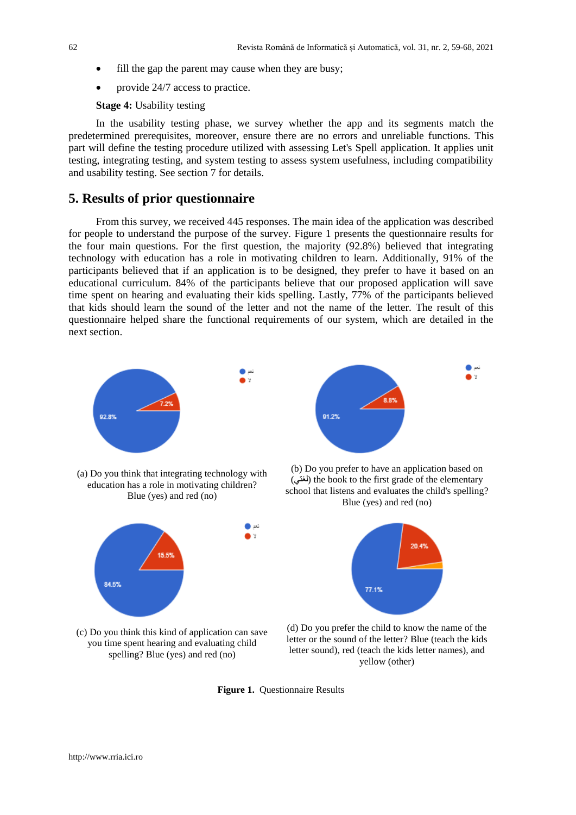- fill the gap the parent may cause when they are busy;
- provide 24/7 access to practice.

**Stage 4:** Usability testing

In the usability testing phase, we survey whether the app and its segments match the predetermined prerequisites, moreover, ensure there are no errors and unreliable functions. This part will define the testing procedure utilized with assessing Let's Spell application. It applies unit testing, integrating testing, and system testing to assess system usefulness, including compatibility and usability testing. See section 7 for details.

## **5. Results of prior questionnaire**

From this survey, we received 445 responses. The main idea of the application was described for people to understand the purpose of the survey. Figure 1 presents the questionnaire results for the four main questions. For the first question, the majority (92.8%) believed that integrating technology with education has a role in motivating children to learn. Additionally, 91% of the participants believed that if an application is to be designed, they prefer to have it based on an educational curriculum. 84% of the participants believe that our proposed application will save time spent on hearing and evaluating their kids spelling. Lastly, 77% of the participants believed that kids should learn the sound of the letter and not the name of the letter. The result of this questionnaire helped share the functional requirements of our system, which are detailed in the next section.



(c) Do you think this kind of application can save you time spent hearing and evaluating child spelling? Blue (yes) and red (no)

(d) Do you prefer the child to know the name of the letter or the sound of the letter? Blue (teach the kids letter sound), red (teach the kids letter names), and yellow (other)

**Figure 1.** Questionnaire Results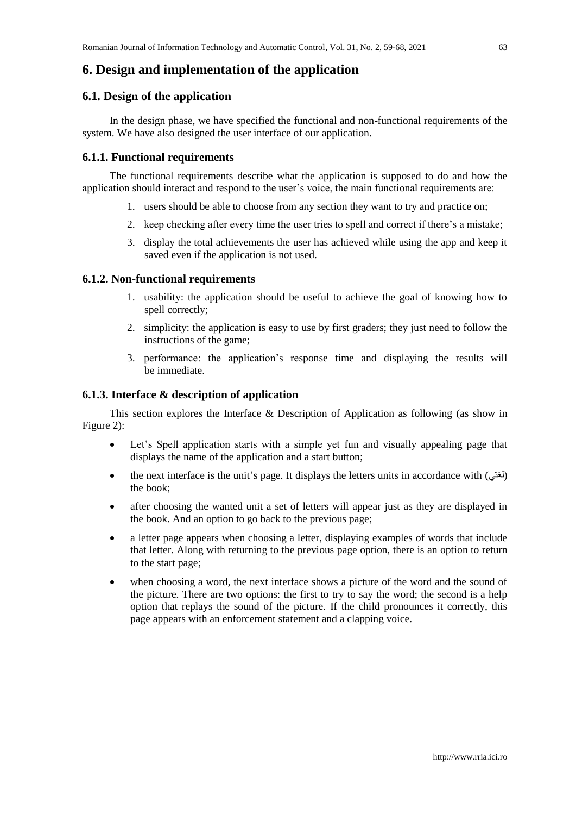## **6. Design and implementation of the application**

#### **6.1. Design of the application**

In the design phase, we have specified the functional and non-functional requirements of the system. We have also designed the user interface of our application.

## **6.1.1. Functional requirements**

The functional requirements describe what the application is supposed to do and how the application should interact and respond to the user's voice, the main functional requirements are:

- 1. users should be able to choose from any section they want to try and practice on;
- 2. keep checking after every time the user tries to spell and correct if there's a mistake;
- 3. display the total achievements the user has achieved while using the app and keep it saved even if the application is not used.

#### **6.1.2. Non-functional requirements**

- 1. usability: the application should be useful to achieve the goal of knowing how to spell correctly;
- 2. simplicity: the application is easy to use by first graders; they just need to follow the instructions of the game;
- 3. performance: the application's response time and displaying the results will be immediate.

## **6.1.3. Interface & description of application**

This section explores the Interface & Description of Application as following (as show in Figure 2):

- Let's Spell application starts with a simple yet fun and visually appealing page that displays the name of the application and a start button;
- the next interface is the unit's page. It displays the letters units in accordance with (لغتي) the book;
- after choosing the wanted unit a set of letters will appear just as they are displayed in the book. And an option to go back to the previous page;
- a letter page appears when choosing a letter, displaying examples of words that include that letter. Along with returning to the previous page option, there is an option to return to the start page;
- when choosing a word, the next interface shows a picture of the word and the sound of the picture. There are two options: the first to try to say the word; the second is a help option that replays the sound of the picture. If the child pronounces it correctly, this page appears with an enforcement statement and a clapping voice.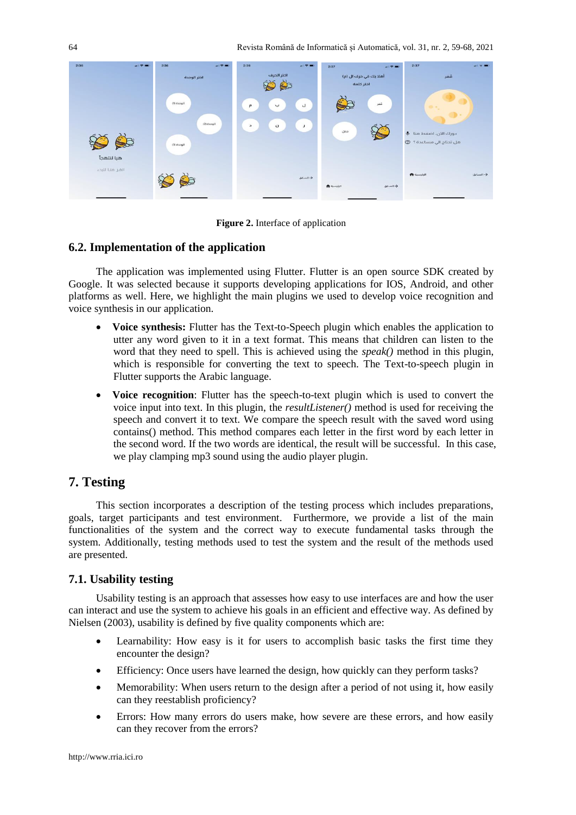

**Figure 2.** Interface of application

## **6.2. Implementation of the application**

The application was implemented using Flutter. Flutter is an open source SDK created by Google. It was selected because it supports developing applications for IOS, Android, and other platforms as well. Here, we highlight the main plugins we used to develop voice recognition and voice synthesis in our application.

- **Voice synthesis:** Flutter has the Text-to-Speech plugin which enables the application to utter any word given to it in a text format. This means that children can listen to the word that they need to spell. This is achieved using the *speak()* method in this plugin, which is responsible for converting the text to speech. The Text-to-speech plugin in Flutter supports the Arabic language.
- **Voice recognition**: Flutter has the speech-to-text plugin which is used to convert the voice input into text. In this plugin, the *resultListener()* method is used for receiving the speech and convert it to text. We compare the speech result with the saved word using contains() method. This method compares each letter in the first word by each letter in the second word. If the two words are identical, the result will be successful. In this case, we play clamping mp3 sound using the audio player plugin.

# **7. Testing**

This section incorporates a description of the testing process which includes preparations, goals, target participants and test environment. Furthermore, we provide a list of the main functionalities of the system and the correct way to execute fundamental tasks through the system. Additionally, testing methods used to test the system and the result of the methods used are presented.

## **7.1. Usability testing**

Usability testing is an approach that assesses how easy to use interfaces are and how the user can interact and use the system to achieve his goals in an efficient and effective way. As defined by Nielsen (2003), usability is defined by five quality components which are:

- Learnability: How easy is it for users to accomplish basic tasks the first time they encounter the design?
- Efficiency: Once users have learned the design, how quickly can they perform tasks?
- Memorability: When users return to the design after a period of not using it, how easily can they reestablish proficiency?
- Errors: How many errors do users make, how severe are these errors, and how easily can they recover from the errors?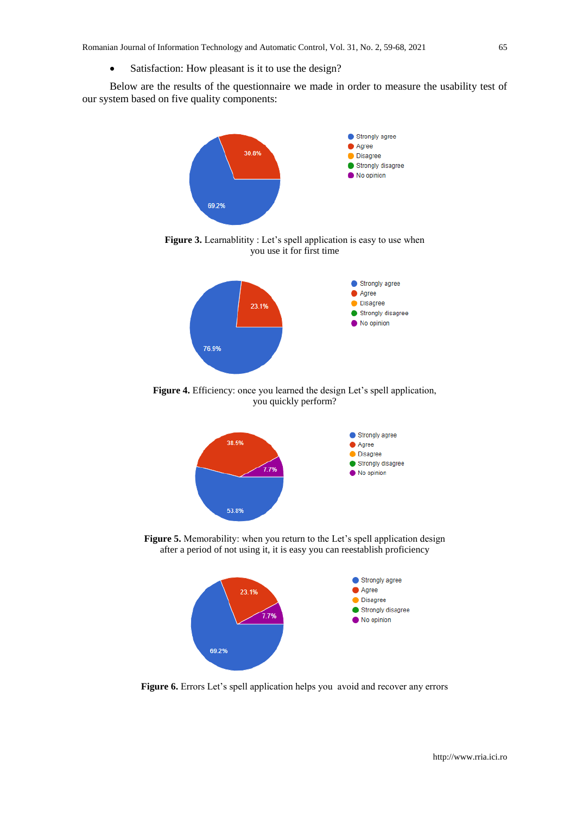• Satisfaction: How pleasant is it to use the design?

Below are the results of the questionnaire we made in order to measure the usability test of our system based on five quality components:



Figure 3. Learnablitity : Let's spell application is easy to use when you use it for first time



Figure 4. Efficiency: once you learned the design Let's spell application, you quickly perform?



**Figure 5.** Memorability: when you return to the Let's spell application design after a period of not using it, it is easy you can reestablish proficiency



Figure 6. Errors Let's spell application helps you avoid and recover any errors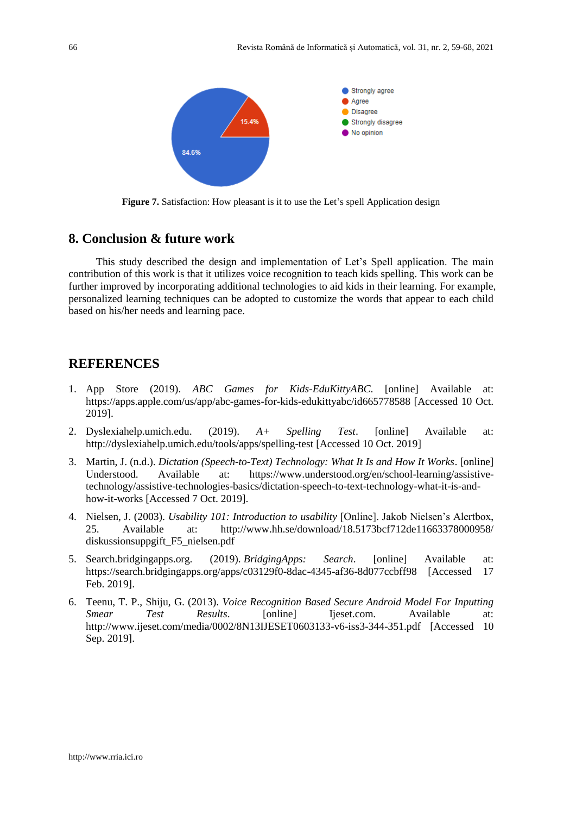

Figure 7. Satisfaction: How pleasant is it to use the Let's spell Application design

# **8. Conclusion & future work**

This study described the design and implementation of Let's Spell application. The main contribution of this work is that it utilizes voice recognition to teach kids spelling. This work can be further improved by incorporating additional technologies to aid kids in their learning. For example, personalized learning techniques can be adopted to customize the words that appear to each child based on his/her needs and learning pace.

## **REFERENCES**

- 1. App Store (2019). *ABC Games for Kids-EduKittyABC*. [online] Available at: https://apps.apple.com/us/app/abc-games-for-kids-edukittyabc/id665778588 [Accessed 10 Oct. 2019].
- 2. Dyslexiahelp.umich.edu. (2019). *A+ Spelling Test*. [online] Available at: http://dyslexiahelp.umich.edu/tools/apps/spelling-test [Accessed 10 Oct. 2019]
- 3. Martin, J. (n.d.). *Dictation (Speech-to-Text) Technology: What It Is and How It Works*. [online] Understood. Available at: https://www.understood.org/en/school-learning/assistivetechnology/assistive-technologies-basics/dictation-speech-to-text-technology-what-it-is-andhow-it-works [Accessed 7 Oct. 2019].
- 4. Nielsen, J. (2003). *Usability 101: Introduction to usability* [Online]. Jakob Nielsen's Alertbox, 25. Available at: http://www.hh.se/download/18.5173bcf712de11663378000958/ diskussionsuppgift\_F5\_nielsen.pdf
- 5. Search.bridgingapps.org. (2019). *BridgingApps: Search*. [online] Available at: https://search.bridgingapps.org/apps/c03129f0-8dac-4345-af36-8d077ccbff98 [Accessed 17 Feb. 2019].
- 6. Teenu, T. P., Shiju, G. (2013). *Voice Recognition Based Secure Android Model For Inputting Smear Test Results*. [online] Ijeset.com. Available at: http://www.ijeset.com/media/0002/8N13IJESET0603133-v6-iss3-344-351.pdf [Accessed 10 Sep. 2019].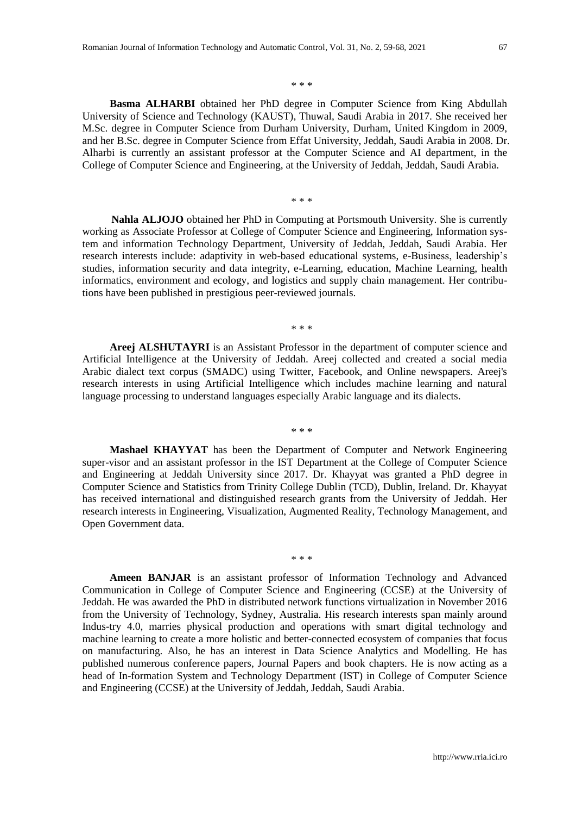\* \* \*

**Basma ALHARBI** obtained her PhD degree in Computer Science from King Abdullah University of Science and Technology (KAUST), Thuwal, Saudi Arabia in 2017. She received her M.Sc. degree in Computer Science from Durham University, Durham, United Kingdom in 2009, and her B.Sc. degree in Computer Science from Effat University, Jeddah, Saudi Arabia in 2008. Dr. Alharbi is currently an assistant professor at the Computer Science and AI department, in the College of Computer Science and Engineering, at the University of Jeddah, Jeddah, Saudi Arabia.

**Nahla ALJOJO** obtained her PhD in Computing at Portsmouth University. She is currently working as Associate Professor at College of Computer Science and Engineering, Information system and information Technology Department, University of Jeddah, Jeddah, Saudi Arabia. Her research interests include: adaptivity in web-based educational systems, e-Business, leadership's studies, information security and data integrity, e-Learning, education, Machine Learning, health informatics, environment and ecology, and logistics and supply chain management. Her contributions have been published in prestigious peer-reviewed journals.

\* \* \*

\* \* \*

**Areej ALSHUTAYRI** is an Assistant Professor in the department of computer science and Artificial Intelligence at the University of Jeddah. Areej collected and created a social media Arabic dialect text corpus (SMADC) using Twitter, Facebook, and Online newspapers. Areej's research interests in using Artificial Intelligence which includes machine learning and natural language processing to understand languages especially Arabic language and its dialects.

\* \* \*

**Mashael KHAYYAT** has been the Department of Computer and Network Engineering super-visor and an assistant professor in the IST Department at the College of Computer Science and Engineering at Jeddah University since 2017. Dr. Khayyat was granted a PhD degree in Computer Science and Statistics from Trinity College Dublin (TCD), Dublin, Ireland. Dr. Khayyat has received international and distinguished research grants from the University of Jeddah. Her research interests in Engineering, Visualization, Augmented Reality, Technology Management, and Open Government data.

\* \* \*

**Ameen BANJAR** is an assistant professor of Information Technology and Advanced Communication in College of Computer Science and Engineering (CCSE) at the University of Jeddah. He was awarded the PhD in distributed network functions virtualization in November 2016 from the University of Technology, Sydney, Australia. His research interests span mainly around Indus-try 4.0, marries physical production and operations with smart digital technology and machine learning to create a more holistic and better-connected ecosystem of companies that focus on manufacturing. Also, he has an interest in Data Science Analytics and Modelling. He has published numerous conference papers, Journal Papers and book chapters. He is now acting as a head of In-formation System and Technology Department (IST) in College of Computer Science and Engineering (CCSE) at the University of Jeddah, Jeddah, Saudi Arabia.